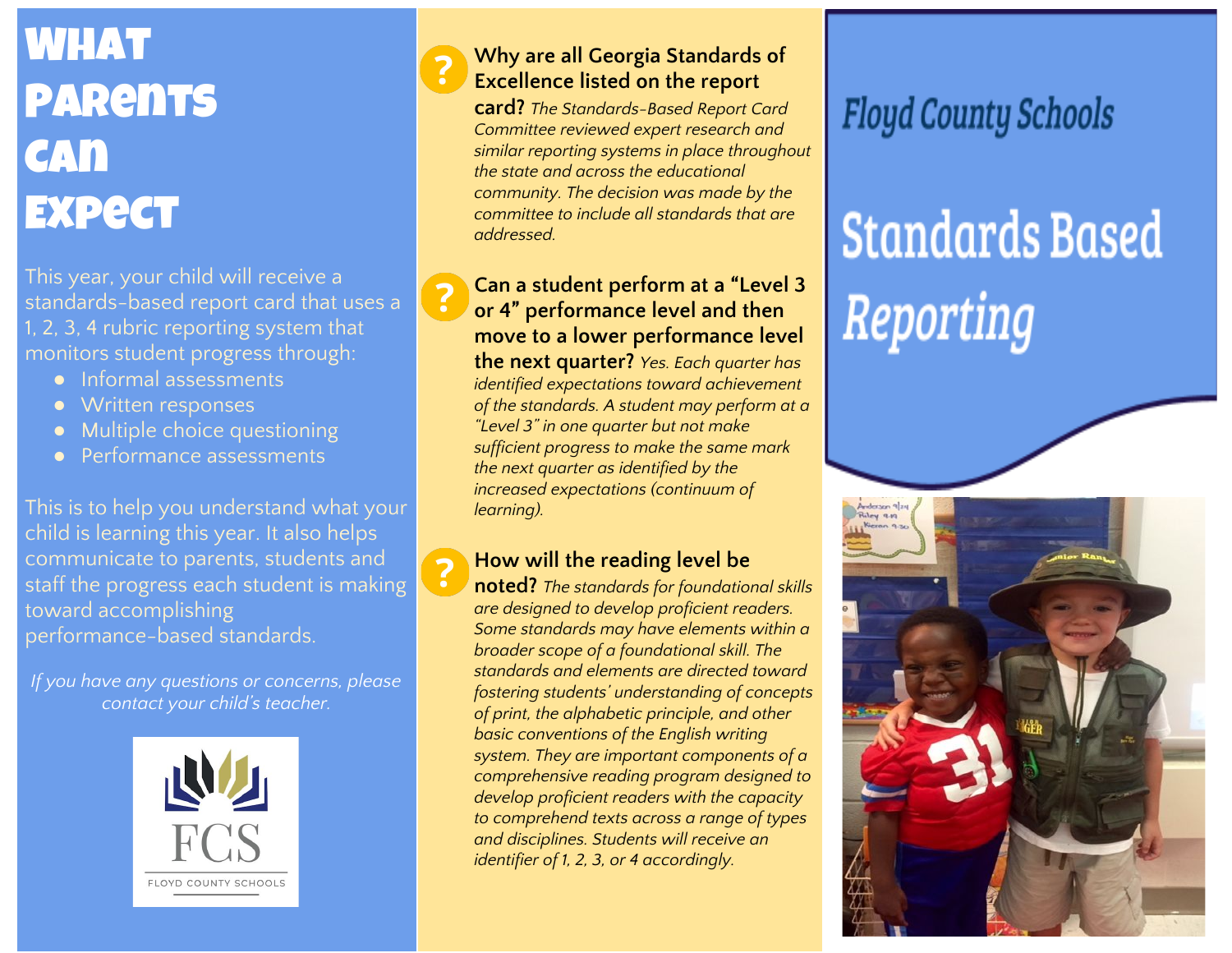## **WHAT PARents CAN EXPECT**

This year, your child will receive a standards-based report card that uses a 1, 2, 3, 4 rubric reporting system that monitors student progress through:

- Informal assessments
- Written responses
- Multiple choice questioning
- Performance assessments

This is to help you understand what your child is learning this year. It also helps communicate to parents, students and staff the progress each student is making toward accomplishing performance-based standards.

*If you have any questions or concerns, please contact your child's teacher.*



**Why are all Georgia Standards of Excellence listed on the report**

**card?** *The Standards-Based Report Card Committee reviewed expert research and similar reporting systems in place throughout the state and across the educational community. The decision was made by the committee to include all standards that are addressed.*

#### **Can a student perform at a "Level 3 or 4" performance level and then move to a lower performance level the next quarter?** *Yes. Each quarter has identified expectations toward achievement of the standards. A student may perform at a "Level 3" in one quarter but not make sufficient progress to make the same mark the next quarter as identified by the increased expectations (continuum of learning).*

### **How will the reading level be**

**noted?** *The standards for foundational skills are designed to develop proficient readers. Some standards may have elements within a broader scope of a foundational skill. The standards and elements are directed toward fostering students' understanding of concepts of print, the alphabetic principle, and other basic conventions of the English writing system. They are important components of a comprehensive reading program designed to develop proficient readers with the capacity to comprehend texts across a range of types and disciplines. Students will receive an identifier of 1, 2, 3, or 4 accordingly.*

## **Floyd County Schools**

# **Standards Based** Reporting